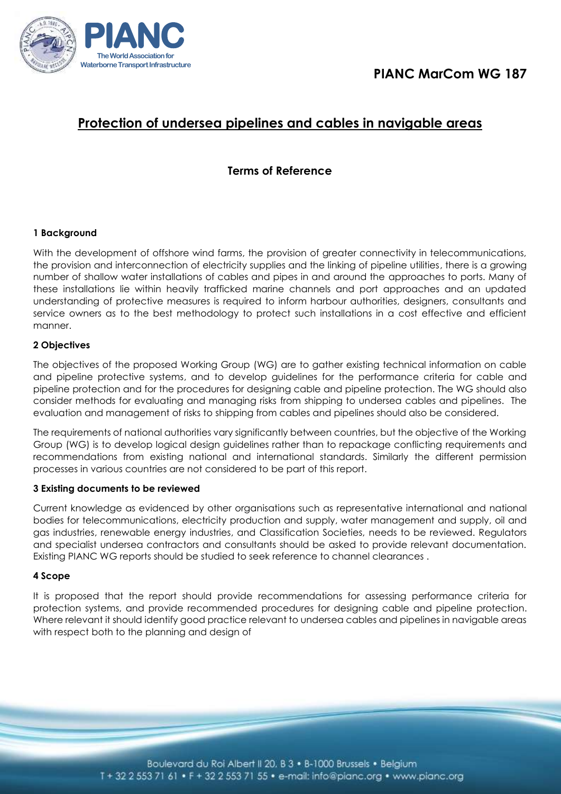

# **Protection of undersea pipelines and cables in navigable areas**

# **Terms of Reference**

## **1 Background**

With the development of offshore wind farms, the provision of greater connectivity in telecommunications, the provision and interconnection of electricity supplies and the linking of pipeline utilities, there is a growing number of shallow water installations of cables and pipes in and around the approaches to ports. Many of these installations lie within heavily trafficked marine channels and port approaches and an updated understanding of protective measures is required to inform harbour authorities, designers, consultants and service owners as to the best methodology to protect such installations in a cost effective and efficient manner.

## **2 Objectives**

The objectives of the proposed Working Group (WG) are to gather existing technical information on cable and pipeline protective systems, and to develop guidelines for the performance criteria for cable and pipeline protection and for the procedures for designing cable and pipeline protection. The WG should also consider methods for evaluating and managing risks from shipping to undersea cables and pipelines. The evaluation and management of risks to shipping from cables and pipelines should also be considered.

The requirements of national authorities vary significantly between countries, but the objective of the Working Group (WG) is to develop logical design guidelines rather than to repackage conflicting requirements and recommendations from existing national and international standards. Similarly the different permission processes in various countries are not considered to be part of this report.

#### **3 Existing documents to be reviewed**

Current knowledge as evidenced by other organisations such as representative international and national bodies for telecommunications, electricity production and supply, water management and supply, oil and gas industries, renewable energy industries, and Classification Societies, needs to be reviewed. Regulators and specialist undersea contractors and consultants should be asked to provide relevant documentation. Existing PIANC WG reports should be studied to seek reference to channel clearances .

#### **4 Scope**

It is proposed that the report should provide recommendations for assessing performance criteria for protection systems, and provide recommended procedures for designing cable and pipeline protection. Where relevant it should identify good practice relevant to undersea cables and pipelines in navigable areas with respect both to the planning and design of